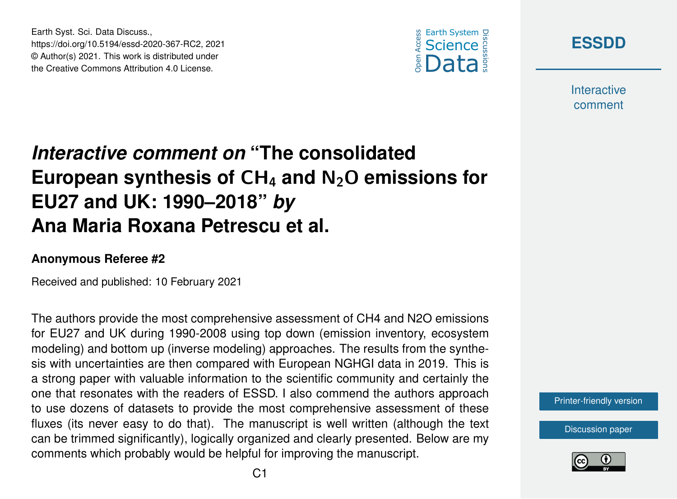

**[ESSDD](https://essd.copernicus.org/preprints/)**

**Interactive** comment

## *Interactive comment on* **"The consolidated European synthesis of** CH<sup>4</sup> **and** N2O **emissions for EU27 and UK: 1990–2018"** *by* **Ana Maria Roxana Petrescu et al.**

## **Anonymous Referee #2**

Earth Syst. Sci. Data Discuss.,

https://doi.org/10.5194/essd-2020-367-RC2, 2021 © Author(s) 2021. This work is distributed under the Creative Commons Attribution 4.0 License.

Received and published: 10 February 2021

The authors provide the most comprehensive assessment of CH4 and N2O emissions for EU27 and UK during 1990-2008 using top down (emission inventory, ecosystem modeling) and bottom up (inverse modeling) approaches. The results from the synthesis with uncertainties are then compared with European NGHGI data in 2019. This is a strong paper with valuable information to the scientific community and certainly the one that resonates with the readers of ESSD. I also commend the authors approach to use dozens of datasets to provide the most comprehensive assessment of these fluxes (its never easy to do that). The manuscript is well written (although the text can be trimmed significantly), logically organized and clearly presented. Below are my comments which probably would be helpful for improving the manuscript.

[Printer-friendly version](https://essd.copernicus.org/preprints/essd-2020-367/essd-2020-367-RC2-print.pdf)

[Discussion paper](https://essd.copernicus.org/preprints/essd-2020-367)

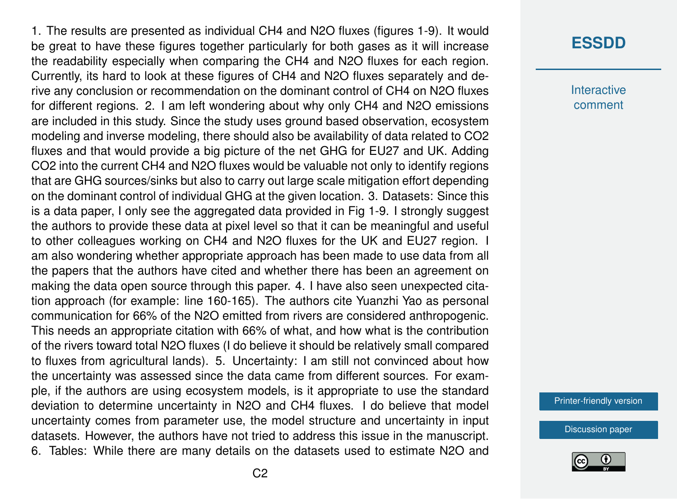1. The results are presented as individual CH4 and N2O fluxes (figures 1-9). It would be great to have these figures together particularly for both gases as it will increase the readability especially when comparing the CH4 and N2O fluxes for each region. Currently, its hard to look at these figures of CH4 and N2O fluxes separately and derive any conclusion or recommendation on the dominant control of CH4 on N2O fluxes for different regions. 2. I am left wondering about why only CH4 and N2O emissions are included in this study. Since the study uses ground based observation, ecosystem modeling and inverse modeling, there should also be availability of data related to CO2 fluxes and that would provide a big picture of the net GHG for EU27 and UK. Adding CO2 into the current CH4 and N2O fluxes would be valuable not only to identify regions that are GHG sources/sinks but also to carry out large scale mitigation effort depending on the dominant control of individual GHG at the given location. 3. Datasets: Since this is a data paper, I only see the aggregated data provided in Fig 1-9. I strongly suggest the authors to provide these data at pixel level so that it can be meaningful and useful to other colleagues working on CH4 and N2O fluxes for the UK and EU27 region. I am also wondering whether appropriate approach has been made to use data from all the papers that the authors have cited and whether there has been an agreement on making the data open source through this paper. 4. I have also seen unexpected citation approach (for example: line 160-165). The authors cite Yuanzhi Yao as personal communication for 66% of the N2O emitted from rivers are considered anthropogenic. This needs an appropriate citation with 66% of what, and how what is the contribution of the rivers toward total N2O fluxes (I do believe it should be relatively small compared to fluxes from agricultural lands). 5. Uncertainty: I am still not convinced about how the uncertainty was assessed since the data came from different sources. For example, if the authors are using ecosystem models, is it appropriate to use the standard deviation to determine uncertainty in N2O and CH4 fluxes. I do believe that model uncertainty comes from parameter use, the model structure and uncertainty in input datasets. However, the authors have not tried to address this issue in the manuscript. 6. Tables: While there are many details on the datasets used to estimate N2O and

## **[ESSDD](https://essd.copernicus.org/preprints/)**

**Interactive** comment

[Printer-friendly version](https://essd.copernicus.org/preprints/essd-2020-367/essd-2020-367-RC2-print.pdf)

[Discussion paper](https://essd.copernicus.org/preprints/essd-2020-367)